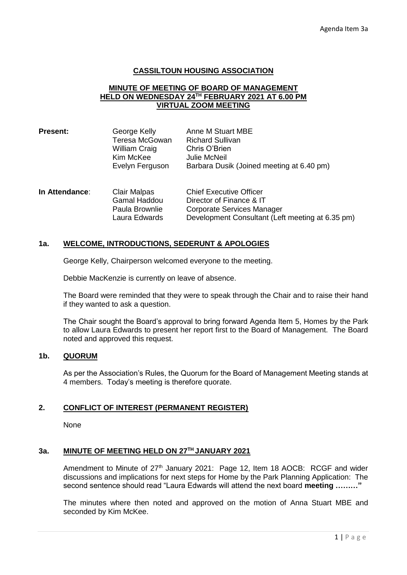## **CASSILTOUN HOUSING ASSOCIATION**

### **MINUTE OF MEETING OF BOARD OF MANAGEMENT HELD ON WEDNESDAY 24TH FEBRUARY 2021 AT 6.00 PM VIRTUAL ZOOM MEETING**

| <b>Present:</b> | George Kelly         | Anne M Stuart MBE                         |
|-----------------|----------------------|-------------------------------------------|
|                 | Teresa McGowan       | <b>Richard Sullivan</b>                   |
|                 | <b>William Craig</b> | Chris O'Brien                             |
|                 | Kim McKee            | Julie McNeil                              |
|                 | Evelyn Ferguson      | Barbara Dusik (Joined meeting at 6.40 pm) |
|                 |                      |                                           |

| In Attendance: | Clair Malpas   | <b>Chief Executive Officer</b>                   |
|----------------|----------------|--------------------------------------------------|
|                | Gamal Haddou   | Director of Finance & IT                         |
|                | Paula Brownlie | Corporate Services Manager                       |
|                | Laura Edwards  | Development Consultant (Left meeting at 6.35 pm) |

## **1a. WELCOME, INTRODUCTIONS, SEDERUNT & APOLOGIES**

George Kelly, Chairperson welcomed everyone to the meeting.

Debbie MacKenzie is currently on leave of absence.

The Board were reminded that they were to speak through the Chair and to raise their hand if they wanted to ask a question.

The Chair sought the Board's approval to bring forward Agenda Item 5, Homes by the Park to allow Laura Edwards to present her report first to the Board of Management. The Board noted and approved this request.

## **1b. QUORUM**

As per the Association's Rules, the Quorum for the Board of Management Meeting stands at 4 members. Today's meeting is therefore quorate.

# **2. CONFLICT OF INTEREST (PERMANENT REGISTER)**

None

#### **3a. MINUTE OF MEETING HELD ON 27TH JANUARY 2021**

Amendment to Minute of 27<sup>th</sup> January 2021: Page 12, Item 18 AOCB: RCGF and wider discussions and implications for next steps for Home by the Park Planning Application: The second sentence should read "Laura Edwards will attend the next board **meeting ………"**

The minutes where then noted and approved on the motion of Anna Stuart MBE and seconded by Kim McKee.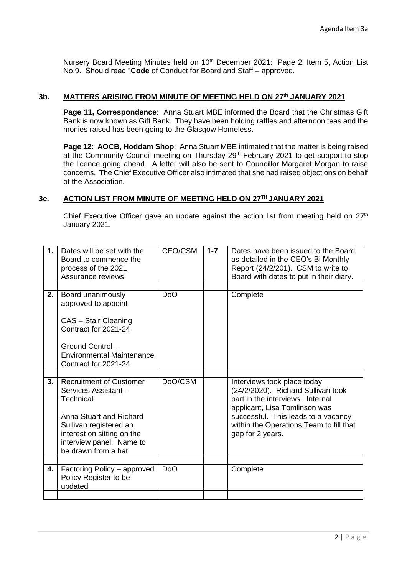Nursery Board Meeting Minutes held on 10<sup>th</sup> December 2021: Page 2, Item 5, Action List No.9. Should read "**Code** of Conduct for Board and Staff – approved.

## **3b. MATTERS ARISING FROM MINUTE OF MEETING HELD ON 27th JANUARY 2021**

**Page 11, Correspondence**: Anna Stuart MBE informed the Board that the Christmas Gift Bank is now known as Gift Bank. They have been holding raffles and afternoon teas and the monies raised has been going to the Glasgow Homeless.

**Page 12: AOCB, Hoddam Shop:** Anna Stuart MBE intimated that the matter is being raised at the Community Council meeting on Thursday 29<sup>th</sup> February 2021 to get support to stop the licence going ahead. A letter will also be sent to Councillor Margaret Morgan to raise concerns. The Chief Executive Officer also intimated that she had raised objections on behalf of the Association.

## **3c. ACTION LIST FROM MINUTE OF MEETING HELD ON 27TH JANUARY 2021**

Chief Executive Officer gave an update against the action list from meeting held on  $27<sup>th</sup>$ January 2021.

| 1. | Dates will be set with the<br>Board to commence the<br>process of the 2021                                                                                                                                | CEO/CSM          | $1 - 7$ | Dates have been issued to the Board<br>as detailed in the CEO's Bi Monthly<br>Report (24/2/201). CSM to write to                                                                                                                             |
|----|-----------------------------------------------------------------------------------------------------------------------------------------------------------------------------------------------------------|------------------|---------|----------------------------------------------------------------------------------------------------------------------------------------------------------------------------------------------------------------------------------------------|
|    | Assurance reviews.                                                                                                                                                                                        |                  |         | Board with dates to put in their diary.                                                                                                                                                                                                      |
| 2. | Board unanimously<br>approved to appoint<br>CAS - Stair Cleaning<br>Contract for 2021-24<br>Ground Control -<br><b>Environmental Maintenance</b>                                                          | <b>DoO</b>       |         | Complete                                                                                                                                                                                                                                     |
|    | Contract for 2021-24                                                                                                                                                                                      |                  |         |                                                                                                                                                                                                                                              |
| 3. | <b>Recruitment of Customer</b><br>Services Assistant -<br>Technical<br>Anna Stuart and Richard<br>Sullivan registered an<br>interest on sitting on the<br>interview panel. Name to<br>be drawn from a hat | DoO/CSM          |         | Interviews took place today<br>(24/2/2020). Richard Sullivan took<br>part in the interviews. Internal<br>applicant, Lisa Tomlinson was<br>successful. This leads to a vacancy<br>within the Operations Team to fill that<br>gap for 2 years. |
|    |                                                                                                                                                                                                           |                  |         |                                                                                                                                                                                                                                              |
| 4. | Factoring Policy - approved<br>Policy Register to be<br>updated                                                                                                                                           | D <sub>o</sub> O |         | Complete                                                                                                                                                                                                                                     |
|    |                                                                                                                                                                                                           |                  |         |                                                                                                                                                                                                                                              |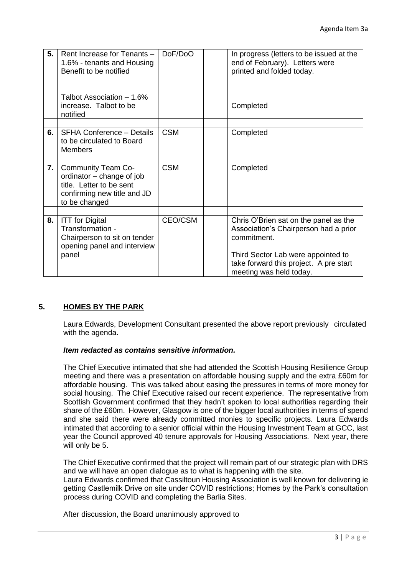| 5. | Rent Increase for Tenants -<br>1.6% - tenants and Housing<br>Benefit to be notified<br>Talbot Association - 1.6%<br>increase. Talbot to be<br>notified | DoF/DoO    | In progress (letters to be issued at the<br>end of February). Letters were<br>printed and folded today.<br>Completed                                                                                     |
|----|--------------------------------------------------------------------------------------------------------------------------------------------------------|------------|----------------------------------------------------------------------------------------------------------------------------------------------------------------------------------------------------------|
|    |                                                                                                                                                        |            |                                                                                                                                                                                                          |
| 6. | <b>SFHA Conference - Details</b><br>to be circulated to Board<br><b>Members</b>                                                                        | <b>CSM</b> | Completed                                                                                                                                                                                                |
|    |                                                                                                                                                        |            |                                                                                                                                                                                                          |
| 7. | <b>Community Team Co-</b><br>ordinator – change of job<br>title. Letter to be sent<br>confirming new title and JD<br>to be changed                     | <b>CSM</b> | Completed                                                                                                                                                                                                |
|    |                                                                                                                                                        |            |                                                                                                                                                                                                          |
| 8. | <b>ITT</b> for Digital<br>Transformation -<br>Chairperson to sit on tender<br>opening panel and interview<br>panel                                     | CEO/CSM    | Chris O'Brien sat on the panel as the<br>Association's Chairperson had a prior<br>commitment.<br>Third Sector Lab were appointed to<br>take forward this project. A pre start<br>meeting was held today. |

## **5. HOMES BY THE PARK**

Laura Edwards, Development Consultant presented the above report previously circulated with the agenda.

# *Item redacted as contains sensitive information.*

The Chief Executive intimated that she had attended the Scottish Housing Resilience Group meeting and there was a presentation on affordable housing supply and the extra £60m for affordable housing. This was talked about easing the pressures in terms of more money for social housing. The Chief Executive raised our recent experience. The representative from Scottish Government confirmed that they hadn't spoken to local authorities regarding their share of the £60m. However, Glasgow is one of the bigger local authorities in terms of spend and she said there were already committed monies to specific projects. Laura Edwards intimated that according to a senior official within the Housing Investment Team at GCC, last year the Council approved 40 tenure approvals for Housing Associations. Next year, there will only be 5.

The Chief Executive confirmed that the project will remain part of our strategic plan with DRS and we will have an open dialogue as to what is happening with the site. Laura Edwards confirmed that Cassiltoun Housing Association is well known for delivering ie getting Castlemilk Drive on site under COVID restrictions; Homes by the Park's consultation

process during COVID and completing the Barlia Sites.

After discussion, the Board unanimously approved to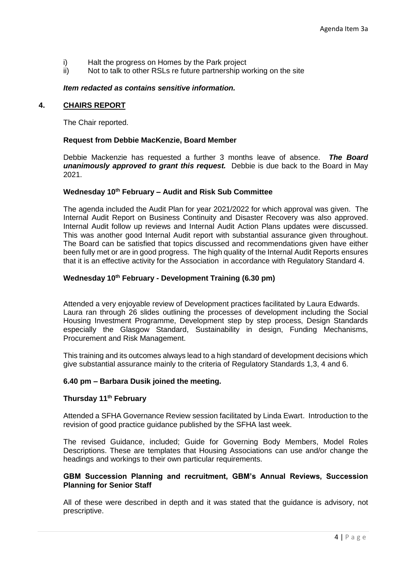- i) Halt the progress on Homes by the Park project
- ii) Not to talk to other RSLs re future partnership working on the site

#### *Item redacted as contains sensitive information.*

#### **4. CHAIRS REPORT**

The Chair reported.

#### **Request from Debbie MacKenzie, Board Member**

Debbie Mackenzie has requested a further 3 months leave of absence. *The Board unanimously approved to grant this request.* Debbie is due back to the Board in May 2021.

#### **Wednesday 10th February – Audit and Risk Sub Committee**

The agenda included the Audit Plan for year 2021/2022 for which approval was given. The Internal Audit Report on Business Continuity and Disaster Recovery was also approved. Internal Audit follow up reviews and Internal Audit Action Plans updates were discussed. This was another good Internal Audit report with substantial assurance given throughout. The Board can be satisfied that topics discussed and recommendations given have either been fully met or are in good progress. The high quality of the Internal Audit Reports ensures that it is an effective activity for the Association in accordance with Regulatory Standard 4.

### **Wednesday 10th February - Development Training (6.30 pm)**

Attended a very enjoyable review of Development practices facilitated by Laura Edwards. Laura ran through 26 slides outlining the processes of development including the Social Housing Investment Programme, Development step by step process, Design Standards especially the Glasgow Standard, Sustainability in design, Funding Mechanisms, Procurement and Risk Management.

This training and its outcomes always lead to a high standard of development decisions which give substantial assurance mainly to the criteria of Regulatory Standards 1,3, 4 and 6.

#### **6.40 pm – Barbara Dusik joined the meeting.**

### **Thursday 11th February**

Attended a SFHA Governance Review session facilitated by Linda Ewart. Introduction to the revision of good practice guidance published by the SFHA last week.

The revised Guidance, included; Guide for Governing Body Members, Model Roles Descriptions. These are templates that Housing Associations can use and/or change the headings and workings to their own particular requirements.

#### **GBM Succession Planning and recruitment, GBM's Annual Reviews, Succession Planning for Senior Staff**

All of these were described in depth and it was stated that the guidance is advisory, not prescriptive.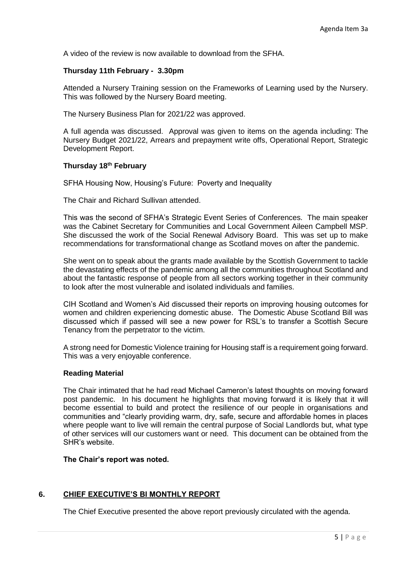A video of the review is now available to download from the SFHA.

### **Thursday 11th February - 3.30pm**

Attended a Nursery Training session on the Frameworks of Learning used by the Nursery. This was followed by the Nursery Board meeting.

The Nursery Business Plan for 2021/22 was approved.

A full agenda was discussed. Approval was given to items on the agenda including: The Nursery Budget 2021/22, Arrears and prepayment write offs, Operational Report, Strategic Development Report.

### **Thursday 18th February**

SFHA Housing Now, Housing's Future: Poverty and Inequality

The Chair and Richard Sullivan attended.

This was the second of SFHA's Strategic Event Series of Conferences. The main speaker was the Cabinet Secretary for Communities and Local Government Aileen Campbell MSP. She discussed the work of the Social Renewal Advisory Board. This was set up to make recommendations for transformational change as Scotland moves on after the pandemic.

She went on to speak about the grants made available by the Scottish Government to tackle the devastating effects of the pandemic among all the communities throughout Scotland and about the fantastic response of people from all sectors working together in their community to look after the most vulnerable and isolated individuals and families.

CIH Scotland and Women's Aid discussed their reports on improving housing outcomes for women and children experiencing domestic abuse. The Domestic Abuse Scotland Bill was discussed which if passed will see a new power for RSL's to transfer a Scottish Secure Tenancy from the perpetrator to the victim.

A strong need for Domestic Violence training for Housing staff is a requirement going forward. This was a very enjoyable conference.

#### **Reading Material**

The Chair intimated that he had read Michael Cameron's latest thoughts on moving forward post pandemic. In his document he highlights that moving forward it is likely that it will become essential to build and protect the resilience of our people in organisations and communities and "clearly providing warm, dry, safe, secure and affordable homes in places where people want to live will remain the central purpose of Social Landlords but, what type of other services will our customers want or need. This document can be obtained from the SHR's website.

#### **The Chair's report was noted.**

## **6. CHIEF EXECUTIVE'S BI MONTHLY REPORT**

The Chief Executive presented the above report previously circulated with the agenda.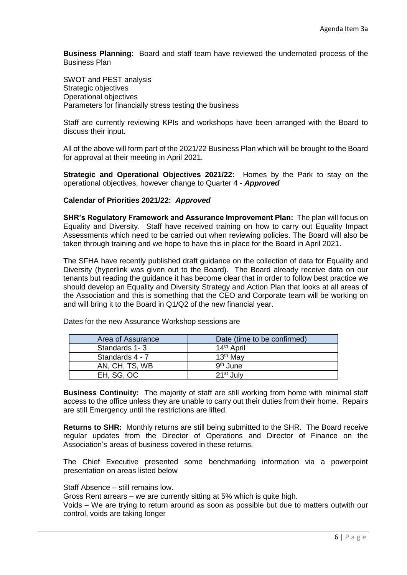**Business Planning:** Board and staff team have reviewed the undernoted process of the Business Plan

SWOT and PEST analysis Strategic objectives Operational objectives Parameters for financially stress testing the business

Staff are currently reviewing KPIs and workshops have been arranged with the Board to discuss their input.

All of the above will form part of the 2021/22 Business Plan which will be brought to the Board for approval at their meeting in April 2021.

**Strategic and Operational Objectives 2021/22:** Homes by the Park to stay on the operational objectives, however change to Quarter 4 - *Approved*

#### **Calendar of Priorities 2021/22:** *Approved*

**SHR's Regulatory Framework and Assurance Improvement Plan:** The plan will focus on Equality and Diversity. Staff have received training on how to carry out Equality Impact Assessments which need to be carried out when reviewing policies. The Board will also be taken through training and we hope to have this in place for the Board in April 2021.

The SFHA have recently published draft guidance on the collection of data for Equality and Diversity (hyperlink was given out to the Board). The Board already receive data on our tenants but reading the guidance it has become clear that in order to follow best practice we should develop an Equality and Diversity Strategy and Action Plan that looks at all areas of the Association and this is something that the CEO and Corporate team will be working on and will bring it to the Board in Q1/Q2 of the new financial year.

| Area of Assurance | Date (time to be confirmed) |
|-------------------|-----------------------------|
| Standards 1-3     | 14 <sup>th</sup> April      |
| Standards 4 - 7   | 13 <sup>th</sup> May        |
| AN, CH, TS, WB    | 9 <sup>th</sup> June        |
| EH, SG, OC        | 21 <sup>st</sup> July       |

Dates for the new Assurance Workshop sessions are

**Business Continuity:** The majority of staff are still working from home with minimal staff access to the office unless they are unable to carry out their duties from their home. Repairs are still Emergency until the restrictions are lifted.

**Returns to SHR:** Monthly returns are still being submitted to the SHR. The Board receive regular updates from the Director of Operations and Director of Finance on the Association's areas of business covered in these returns.

The Chief Executive presented some benchmarking information via a powerpoint presentation on areas listed below

Staff Absence – still remains low.

Gross Rent arrears – we are currently sitting at 5% which is quite high.

Voids – We are trying to return around as soon as possible but due to matters outwith our control, voids are taking longer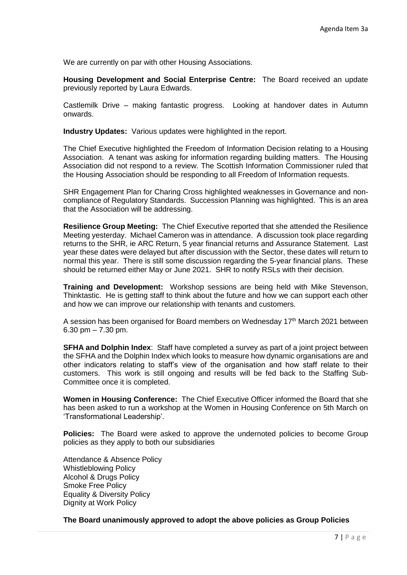We are currently on par with other Housing Associations.

**Housing Development and Social Enterprise Centre:** The Board received an update previously reported by Laura Edwards.

Castlemilk Drive – making fantastic progress. Looking at handover dates in Autumn onwards.

**Industry Updates:** Various updates were highlighted in the report.

The Chief Executive highlighted the Freedom of Information Decision relating to a Housing Association. A tenant was asking for information regarding building matters. The Housing Association did not respond to a review. The Scottish Information Commissioner ruled that the Housing Association should be responding to all Freedom of Information requests.

SHR Engagement Plan for Charing Cross highlighted weaknesses in Governance and noncompliance of Regulatory Standards. Succession Planning was highlighted. This is an area that the Association will be addressing.

**Resilience Group Meeting:** The Chief Executive reported that she attended the Resilience Meeting yesterday. Michael Cameron was in attendance. A discussion took place regarding returns to the SHR, ie ARC Return, 5 year financial returns and Assurance Statement. Last year these dates were delayed but after discussion with the Sector, these dates will return to normal this year. There is still some discussion regarding the 5-year financial plans. These should be returned either May or June 2021. SHR to notify RSLs with their decision.

**Training and Development:** Workshop sessions are being held with Mike Stevenson, Thinktastic. He is getting staff to think about the future and how we can support each other and how we can improve our relationship with tenants and customers.

A session has been organised for Board members on Wednesday 17th March 2021 between 6.30 pm  $- 7.30$  pm.

**SFHA and Dolphin Index:** Staff have completed a survey as part of a joint project between the SFHA and the Dolphin Index which looks to measure how dynamic organisations are and other indicators relating to staff's view of the organisation and how staff relate to their customers. This work is still ongoing and results will be fed back to the Staffing Sub-Committee once it is completed.

**Women in Housing Conference:** The Chief Executive Officer informed the Board that she has been asked to run a workshop at the Women in Housing Conference on 5th March on 'Transformational Leadership'.

**Policies:** The Board were asked to approve the undernoted policies to become Group policies as they apply to both our subsidiaries

Attendance & Absence Policy Whistleblowing Policy Alcohol & Drugs Policy Smoke Free Policy Equality & Diversity Policy Dignity at Work Policy

**The Board unanimously approved to adopt the above policies as Group Policies**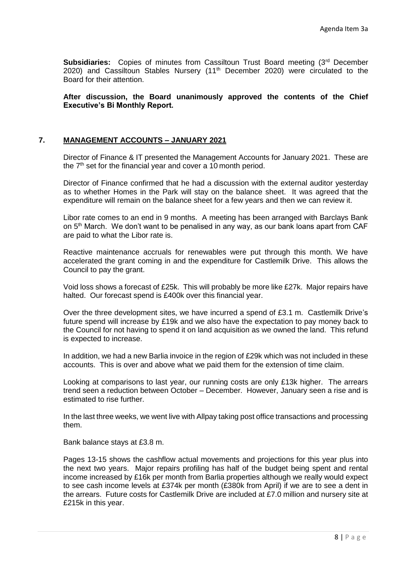**Subsidiaries:** Copies of minutes from Cassiltoun Trust Board meeting (3<sup>rd</sup> December 2020) and Cassiltoun Stables Nursery (11<sup>th</sup> December 2020) were circulated to the Board for their attention.

**After discussion, the Board unanimously approved the contents of the Chief Executive's Bi Monthly Report.**

## **7. MANAGEMENT ACCOUNTS – JANUARY 2021**

Director of Finance & IT presented the Management Accounts for January 2021. These are the  $7<sup>th</sup>$  set for the financial year and cover a 10 month period.

Director of Finance confirmed that he had a discussion with the external auditor yesterday as to whether Homes in the Park will stay on the balance sheet. It was agreed that the expenditure will remain on the balance sheet for a few years and then we can review it.

Libor rate comes to an end in 9 months. A meeting has been arranged with Barclays Bank on 5th March. We don't want to be penalised in any way, as our bank loans apart from CAF are paid to what the Libor rate is.

Reactive maintenance accruals for renewables were put through this month. We have accelerated the grant coming in and the expenditure for Castlemilk Drive. This allows the Council to pay the grant.

Void loss shows a forecast of £25k. This will probably be more like £27k. Major repairs have halted. Our forecast spend is £400k over this financial year.

Over the three development sites, we have incurred a spend of £3.1 m. Castlemilk Drive's future spend will increase by £19k and we also have the expectation to pay money back to the Council for not having to spend it on land acquisition as we owned the land. This refund is expected to increase.

In addition, we had a new Barlia invoice in the region of £29k which was not included in these accounts. This is over and above what we paid them for the extension of time claim.

Looking at comparisons to last year, our running costs are only £13k higher. The arrears trend seen a reduction between October – December. However, January seen a rise and is estimated to rise further.

In the last three weeks, we went live with Allpay taking post office transactions and processing them.

Bank balance stays at £3.8 m.

Pages 13-15 shows the cashflow actual movements and projections for this year plus into the next two years. Major repairs profiling has half of the budget being spent and rental income increased by £16k per month from Barlia properties although we really would expect to see cash income levels at £374k per month (£380k from April) if we are to see a dent in the arrears. Future costs for Castlemilk Drive are included at £7.0 million and nursery site at £215k in this year.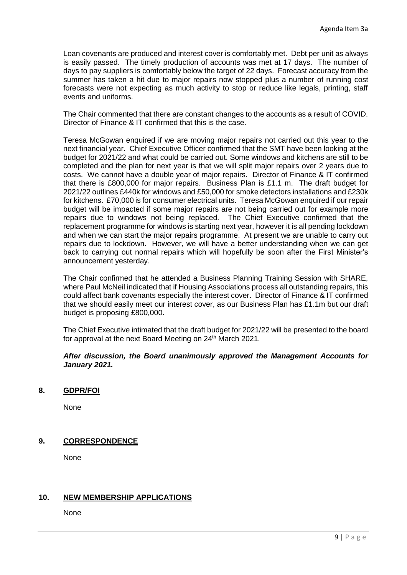Loan covenants are produced and interest cover is comfortably met. Debt per unit as always is easily passed. The timely production of accounts was met at 17 days. The number of days to pay suppliers is comfortably below the target of 22 days. Forecast accuracy from the summer has taken a hit due to major repairs now stopped plus a number of running cost forecasts were not expecting as much activity to stop or reduce like legals, printing, staff events and uniforms.

The Chair commented that there are constant changes to the accounts as a result of COVID. Director of Finance & IT confirmed that this is the case.

Teresa McGowan enquired if we are moving major repairs not carried out this year to the next financial year. Chief Executive Officer confirmed that the SMT have been looking at the budget for 2021/22 and what could be carried out. Some windows and kitchens are still to be completed and the plan for next year is that we will split major repairs over 2 years due to costs. We cannot have a double year of major repairs. Director of Finance & IT confirmed that there is £800,000 for major repairs. Business Plan is £1.1 m. The draft budget for 2021/22 outlines £440k for windows and £50,000 for smoke detectors installations and £230k for kitchens. £70,000 is for consumer electrical units. Teresa McGowan enquired if our repair budget will be impacted if some major repairs are not being carried out for example more repairs due to windows not being replaced. The Chief Executive confirmed that the replacement programme for windows is starting next year, however it is all pending lockdown and when we can start the major repairs programme. At present we are unable to carry out repairs due to lockdown. However, we will have a better understanding when we can get back to carrying out normal repairs which will hopefully be soon after the First Minister's announcement yesterday.

The Chair confirmed that he attended a Business Planning Training Session with SHARE, where Paul McNeil indicated that if Housing Associations process all outstanding repairs, this could affect bank covenants especially the interest cover. Director of Finance & IT confirmed that we should easily meet our interest cover, as our Business Plan has £1.1m but our draft budget is proposing £800,000.

The Chief Executive intimated that the draft budget for 2021/22 will be presented to the board for approval at the next Board Meeting on 24<sup>th</sup> March 2021.

## *After discussion, the Board unanimously approved the Management Accounts for January 2021.*

## **8. GDPR/FOI**

None

# **9. CORRESPONDENCE**

None

# **10. NEW MEMBERSHIP APPLICATIONS**

None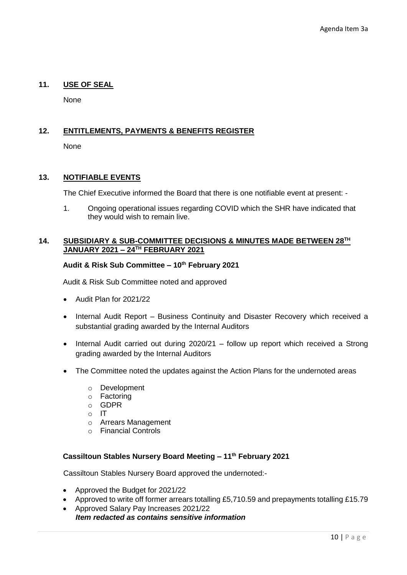# **11. USE OF SEAL**

None

# **12. ENTITLEMENTS, PAYMENTS & BENEFITS REGISTER**

None

# **13. NOTIFIABLE EVENTS**

The Chief Executive informed the Board that there is one notifiable event at present: -

1. Ongoing operational issues regarding COVID which the SHR have indicated that they would wish to remain live.

### **14. SUBSIDIARY & SUB-COMMITTEE DECISIONS & MINUTES MADE BETWEEN 28TH JANUARY 2021 – 24TH FEBRUARY 2021**

## **Audit & Risk Sub Committee – 10th February 2021**

Audit & Risk Sub Committee noted and approved

- Audit Plan for 2021/22
- Internal Audit Report Business Continuity and Disaster Recovery which received a substantial grading awarded by the Internal Auditors
- Internal Audit carried out during 2020/21 follow up report which received a Strong grading awarded by the Internal Auditors
- The Committee noted the updates against the Action Plans for the undernoted areas
	- o Development
	- o Factoring
	- o GDPR
	- o IT
	- o Arrears Management
	- o Financial Controls

## **Cassiltoun Stables Nursery Board Meeting – 11th February 2021**

Cassiltoun Stables Nursery Board approved the undernoted:-

- Approved the Budget for 2021/22
- Approved to write off former arrears totalling £5,710.59 and prepayments totalling £15.79
- Approved Salary Pay Increases 2021/22 *Item redacted as contains sensitive information*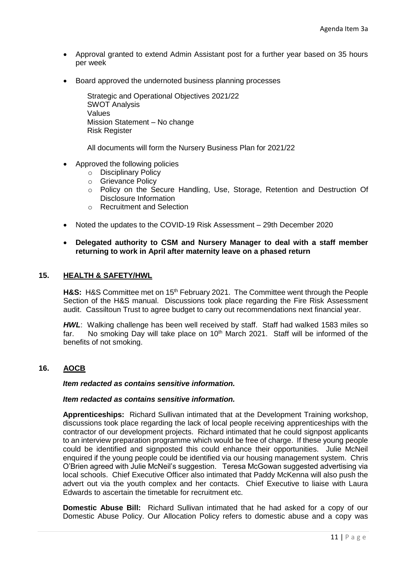- Approval granted to extend Admin Assistant post for a further year based on 35 hours per week
- Board approved the undernoted business planning processes

Strategic and Operational Objectives 2021/22 SWOT Analysis Values Mission Statement – No change Risk Register

All documents will form the Nursery Business Plan for 2021/22

- Approved the following policies
	- o Disciplinary Policy
	- o Grievance Policy
	- o Policy on the Secure Handling, Use, Storage, Retention and Destruction Of Disclosure Information
	- o Recruitment and Selection
- Noted the updates to the COVID-19 Risk Assessment 29th December 2020
- **Delegated authority to CSM and Nursery Manager to deal with a staff member returning to work in April after maternity leave on a phased return**

## **15. HEALTH & SAFETY/HWL**

H&S: H&S Committee met on 15<sup>th</sup> February 2021. The Committee went through the People Section of the H&S manual. Discussions took place regarding the Fire Risk Assessment audit. Cassiltoun Trust to agree budget to carry out recommendations next financial year.

**HWL:** Walking challenge has been well received by staff. Staff had walked 1583 miles so far. No smoking Day will take place on  $10<sup>th</sup>$  March 2021. Staff will be informed of the benefits of not smoking.

# **16. AOCB**

#### *Item redacted as contains sensitive information.*

## *Item redacted as contains sensitive information.*

**Apprenticeships:** Richard Sullivan intimated that at the Development Training workshop, discussions took place regarding the lack of local people receiving apprenticeships with the contractor of our development projects. Richard intimated that he could signpost applicants to an interview preparation programme which would be free of charge. If these young people could be identified and signposted this could enhance their opportunities. Julie McNeil enquired if the young people could be identified via our housing management system. Chris O'Brien agreed with Julie McNeil's suggestion. Teresa McGowan suggested advertising via local schools. Chief Executive Officer also intimated that Paddy McKenna will also push the advert out via the youth complex and her contacts. Chief Executive to liaise with Laura Edwards to ascertain the timetable for recruitment etc.

**Domestic Abuse Bill:** Richard Sullivan intimated that he had asked for a copy of our Domestic Abuse Policy. Our Allocation Policy refers to domestic abuse and a copy was